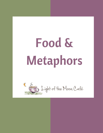# Food & Metaphors

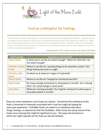

## Food as a Metaphor for Feelings

*"Discovering the deeper meaning of our hunger means learning the language of metaphor. Through the use of metaphor we can begin to see how our most feared or favorite binge foods speak to us and for us. When we are physically hungry and crave a food, there is no metaphor present. However, when we are physically hungry and we deny ourselves food or when we are not physically hungry and we crave a food, we enter the world of metaphor and symbolism."* 

*– Anita Johnston, Ph.D. Author, Eating in the Light of the Moon* 

| <b>Food Cravings</b>           | Questions to ask yourself                                                                                   |
|--------------------------------|-------------------------------------------------------------------------------------------------------------|
| <b>Sweet foods</b>             | In what way is my life not sweet enough? When do I feel that I am<br>not sweet enough?                      |
| <b>Smooth, creamy</b><br>foods | Where in my life am I wanting things to be smoother, easier? Are<br>things feeling too hard or rough?       |
| Crunchy, salty<br>foods        | At whom or at what am I angry or frustrated?                                                                |
| <b>Warm foods</b>              | Where in my life am I longing for emotional warmth?                                                         |
| <b>Spicy foods</b>             | Do I have enough excitement or stimulation in my life? Am I missing<br>that? Do I need change in some area? |
| <b>Chocolate</b>               | What am I craving sexually? Do I long for romance? In what ways is<br>sensuality absent in my life?         |

These are some metaphoric cues to get you started. Sometimes the symbolism of the food is connected to memories associated with it and you might be longing for some past experience. Forbidden foods can speak to us metaphorically about things, feelings, or experiences that feel forbidden. Other times the actual names of the foods carry meaning that might be significant to you. The ways and situations in which you might typically eat the food can also be symbolic.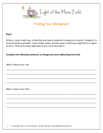

## Finding Your Metaphors

### **Part I**

*Picture, in your mind's eye, a food that you have a tendency to binge on or restrict. Imagine it in as much detail as possible – how it looks, tastes, and the ways in which you might eat it or refuse to eat it. Think of as many adjectives as you can to describe it.*

\_\_\_\_\_\_\_\_\_\_\_\_\_\_\_\_\_\_\_\_\_\_\_\_\_\_\_\_\_\_\_\_\_\_\_\_\_\_\_\_\_\_\_\_\_\_\_\_\_\_\_\_\_\_\_\_\_\_\_\_\_\_\_\_\_\_\_\_\_\_\_\_\_\_\_\_\_

\_\_\_\_\_\_\_\_\_\_\_\_\_\_\_\_\_\_\_\_\_\_\_\_\_\_\_\_\_\_\_\_\_\_\_\_\_\_\_\_\_\_\_\_\_\_\_\_\_\_\_\_\_\_\_\_\_\_\_\_\_\_\_\_\_\_\_\_\_\_\_\_\_\_\_\_\_

\_\_\_\_\_\_\_\_\_\_\_\_\_\_\_\_\_\_\_\_\_\_\_\_\_\_\_\_\_\_\_\_\_\_\_\_\_\_\_\_\_\_\_\_\_\_\_\_\_\_\_\_\_\_\_\_\_\_\_\_\_\_\_\_\_\_\_\_\_\_\_\_\_\_\_\_\_

\_\_\_\_\_\_\_\_\_\_\_\_\_\_\_\_\_\_\_\_\_\_\_\_\_\_\_\_\_\_\_\_\_\_\_\_\_\_\_\_\_\_\_\_\_\_\_\_\_\_\_\_\_\_\_\_\_\_\_\_\_\_\_\_\_\_\_\_\_\_\_\_\_\_\_\_\_

\_\_\_\_\_\_\_\_\_\_\_\_\_\_\_\_\_\_\_\_\_\_\_\_\_\_\_\_\_\_\_\_\_\_\_\_\_\_\_\_\_\_\_\_\_\_\_\_\_\_\_\_\_\_\_\_\_\_\_\_\_\_\_\_\_\_\_\_\_\_\_\_\_\_\_\_\_

\_\_\_\_\_\_\_\_\_\_\_\_\_\_\_\_\_\_\_\_\_\_\_\_\_\_\_\_\_\_\_\_\_\_\_\_\_\_\_\_\_\_\_\_\_\_\_\_\_\_\_\_\_\_\_\_\_\_\_\_\_\_\_\_\_\_\_\_\_\_\_\_\_\_\_\_\_

\_\_\_\_\_\_\_\_\_\_\_\_\_\_\_\_\_\_\_\_\_\_\_\_\_\_\_\_\_\_\_\_\_\_\_\_\_\_\_\_\_\_\_\_\_\_\_\_\_\_\_\_\_\_\_\_\_\_\_\_\_\_\_\_\_\_\_\_\_\_\_\_\_\_\_\_\_

\_\_\_\_\_\_\_\_\_\_\_\_\_\_\_\_\_\_\_\_\_\_\_\_\_\_\_\_\_\_\_\_\_\_\_\_\_\_\_\_\_\_\_\_\_\_\_\_\_\_\_\_\_\_\_\_\_\_\_\_\_\_\_\_\_\_\_\_\_\_\_\_\_\_\_\_\_

**Complete the following sentences as though you were addressing that food:**

When I look at you I see

When I look at you I feel

pg. 2 © Copyright 2016, Dr. Anita Johnston. All rights reserved. www.lightofthemooncafe.com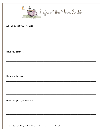| $\mathcal{C}$<br>So Light of the Moon Café |
|--------------------------------------------|
| When I look at you I want to               |
|                                            |
| I love you because                         |
|                                            |
| I hate you because                         |
|                                            |
| The messages I get from you are            |
|                                            |
|                                            |

pg. 3 © Copyright 2016, Dr. Anita Johnston. All rights reserved. www.lightofthemooncafe.com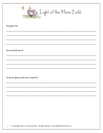

You give me

You remind me of

To be at peace with you I need to

pg. 4 © Copyright 2016, Dr. Anita Johnston. All rights reserved. www.lightofthemooncafe.com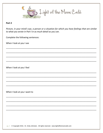

#### Part 2

Picture, in your mind's eye, a person or a situation for which you have feelings that are similar to what you wrote in Part I in as much detail as you can.

Complete the following sentences:

When I look at you I see

When I look at you I feel

When I look at you I want to

pg. 5 © Copyright 2016, Dr. Anita Johnston. All rights reserved. www.lightofthemooncafe.com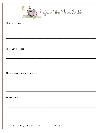

#### I love you because

I hate you because

The messages I get from you are

You give me

pg. 6 © Copyright 2016, Dr. Anita Johnston. All rights reserved. www.lightofthemooncafe.com